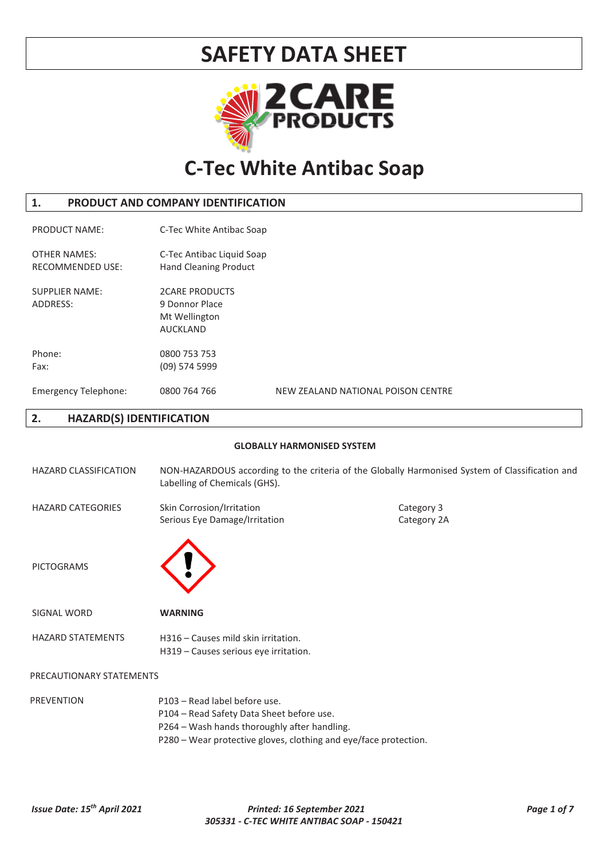

## **C-Tec White Antibac Soap**

### **1. PRODUCT AND COMPANY IDENTIFICATION**

| <b>PRODUCT NAME:</b>                           | C-Tec White Antibac Soap                                                    |                                    |                                                                                                 |
|------------------------------------------------|-----------------------------------------------------------------------------|------------------------------------|-------------------------------------------------------------------------------------------------|
| <b>OTHER NAMES:</b><br><b>RECOMMENDED USE:</b> | C-Tec Antibac Liquid Soap<br>Hand Cleaning Product                          |                                    |                                                                                                 |
| <b>SUPPLIER NAME:</b><br>ADDRESS:              | <b>2CARE PRODUCTS</b><br>9 Donnor Place<br>Mt Wellington<br><b>AUCKLAND</b> |                                    |                                                                                                 |
| Phone:                                         | 0800 753 753                                                                |                                    |                                                                                                 |
| Fax:                                           | $(09)$ 574 5999                                                             |                                    |                                                                                                 |
| <b>Emergency Telephone:</b>                    | 0800 764 766                                                                | NEW ZEALAND NATIONAL POISON CENTRE |                                                                                                 |
| <b>HAZARD(S) IDENTIFICATION</b><br>2.          |                                                                             |                                    |                                                                                                 |
|                                                |                                                                             | <b>GLOBALLY HARMONISED SYSTEM</b>  |                                                                                                 |
| <b>HAZARD CLASSIFICATION</b>                   | Labelling of Chemicals (GHS).                                               |                                    | NON-HAZARDOUS according to the criteria of the Globally Harmonised System of Classification and |
| <b>HAZARD CATEGORIES</b>                       | Skin Corrosion/Irritation<br>Serious Eye Damage/Irritation                  |                                    | Category 3<br>Category 2A                                                                       |
|                                                |                                                                             |                                    |                                                                                                 |



| SIGNAL WORD       | <b>WARNING</b>                                                               |
|-------------------|------------------------------------------------------------------------------|
| HAZARD STATEMENTS | H316 – Causes mild skin irritation.<br>H319 – Causes serious eye irritation. |

### PRECAUTIONARY STATEMENTS

PREVENTION **P103** – Read label before use. • P104 – Read Safety Data Sheet before use. P264 – Wash hands thoroughly after handling. • P280 – Wear protective gloves, clothing and eye/face protection.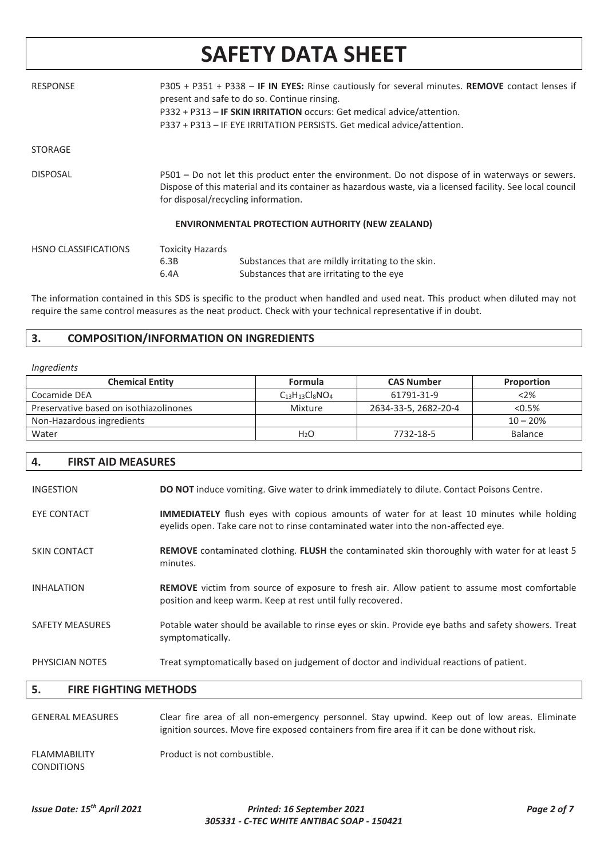| <b>RESPONSE</b>             |                                 | P305 + P351 + P338 - IF IN EYES: Rinse cautiously for several minutes. REMOVE contact lenses if<br>present and safe to do so. Continue rinsing.<br>P332 + P313 - IF SKIN IRRITATION occurs: Get medical advice/attention.<br>P337 + P313 - IF EYE IRRITATION PERSISTS. Get medical advice/attention. |
|-----------------------------|---------------------------------|------------------------------------------------------------------------------------------------------------------------------------------------------------------------------------------------------------------------------------------------------------------------------------------------------|
| <b>STORAGE</b>              |                                 |                                                                                                                                                                                                                                                                                                      |
| <b>DISPOSAL</b>             |                                 | P501 – Do not let this product enter the environment. Do not dispose of in waterways or sewers.<br>Dispose of this material and its container as hazardous waste, via a licensed facility. See local council<br>for disposal/recycling information.                                                  |
|                             |                                 | <b>ENVIRONMENTAL PROTECTION AUTHORITY (NEW ZEALAND)</b>                                                                                                                                                                                                                                              |
| <b>HSNO CLASSIFICATIONS</b> | <b>Toxicity Hazards</b><br>6.3B | Substances that are mildly irritating to the skin.                                                                                                                                                                                                                                                   |

The information contained in this SDS is specific to the product when handled and used neat. This product when diluted may not require the same control measures as the neat product. Check with your technical representative if in doubt.

Substances that are irritating to the eye

### **3. COMPOSITION/INFORMATION ON INGREDIENTS**

6.4A

#### *Ingredients*

| <b>Chemical Entity</b>                 | Formula                | <b>CAS Number</b>    | Proportion     |
|----------------------------------------|------------------------|----------------------|----------------|
| Cocamide DEA                           | $C_{13}H_{13}Cl_8NO_4$ | 61791-31-9           | $<$ 2%         |
| Preservative based on isothiazolinones | Mixture                | 2634-33-5, 2682-20-4 | $< 0.5\%$      |
| Non-Hazardous ingredients              |                        |                      | $10 - 20%$     |
| Water                                  | H <sub>2</sub> O       | 7732-18-5            | <b>Balance</b> |

#### **4. FIRST AID MEASURES**

| <b>INGESTION</b>       | <b>DO NOT</b> induce vomiting. Give water to drink immediately to dilute. Contact Poisons Centre.                                                                                       |
|------------------------|-----------------------------------------------------------------------------------------------------------------------------------------------------------------------------------------|
| <b>EYE CONTACT</b>     | <b>IMMEDIATELY</b> flush eyes with copious amounts of water for at least 10 minutes while holding<br>eyelids open. Take care not to rinse contaminated water into the non-affected eye. |
| <b>SKIN CONTACT</b>    | <b>REMOVE</b> contaminated clothing. <b>FLUSH</b> the contaminated skin thoroughly with water for at least 5<br>minutes.                                                                |
| <b>INHALATION</b>      | <b>REMOVE</b> victim from source of exposure to fresh air. Allow patient to assume most comfortable<br>position and keep warm. Keep at rest until fully recovered.                      |
| <b>SAFETY MEASURES</b> | Potable water should be available to rinse eyes or skin. Provide eye baths and safety showers. Treat<br>symptomatically.                                                                |
| PHYSICIAN NOTES        | Treat symptomatically based on judgement of doctor and individual reactions of patient.                                                                                                 |

### **5. FIRE FIGHTING METHODS**

| <b>GENERAL MEASURES</b>                  | Clear fire area of all non-emergency personnel. Stay upwind. Keep out of low areas. Eliminate<br>ignition sources. Move fire exposed containers from fire area if it can be done without risk. |
|------------------------------------------|------------------------------------------------------------------------------------------------------------------------------------------------------------------------------------------------|
| <b>FLAMMABILITY</b><br><b>CONDITIONS</b> | Product is not combustible.                                                                                                                                                                    |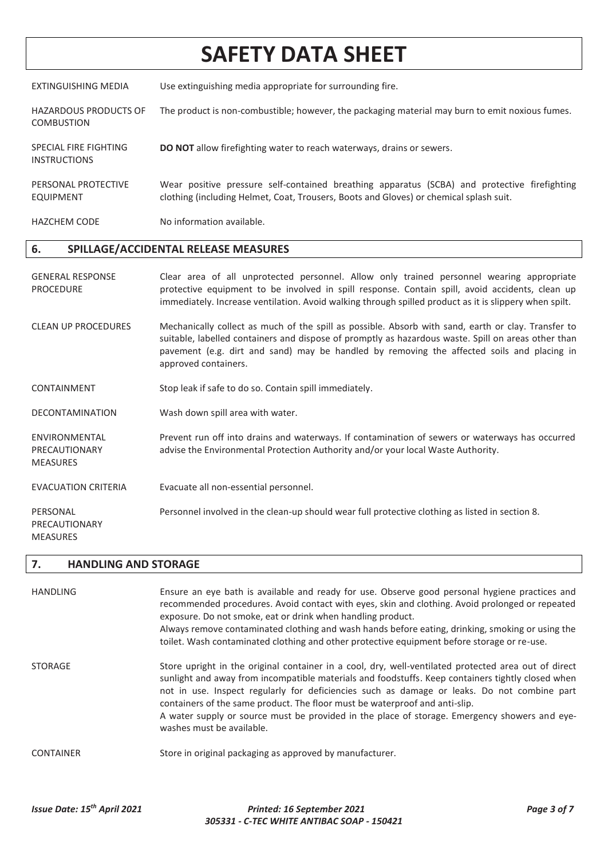EXTINGUISHING MEDIA Use extinguishing media appropriate for surrounding fire.

- HAZARDOUS PRODUCTS OF COMBUSTION The product is non-combustible; however, the packaging material may burn to emit noxious fumes.
- SPECIAL FIRE FIGHTING **DO NOT** allow firefighting water to reach waterways, drains or sewers.
- PERSONAL PROTECTIVE EQUIPMENT Wear positive pressure self-contained breathing apparatus (SCBA) and protective firefighting clothing (including Helmet, Coat, Trousers, Boots and Gloves) or chemical splash suit.

HAZCHEM CODE No information available.

## **6. SPILLAGE/ACCIDENTAL RELEASE MEASURES**

- GENERAL RESPONSE PROCEDURE Clear area of all unprotected personnel. Allow only trained personnel wearing appropriate protective equipment to be involved in spill response. Contain spill, avoid accidents, clean up immediately. Increase ventilation. Avoid walking through spilled product as it is slippery when spilt. CLEAN UP PROCEDURES Mechanically collect as much of the spill as possible. Absorb with sand, earth or clay. Transfer to suitable, labelled containers and dispose of promptly as hazardous waste. Spill on areas other than pavement (e.g. dirt and sand) may be handled by removing the affected soils and placing in approved containers. CONTAINMENT Stop leak if safe to do so. Contain spill immediately. DECONTAMINATION Wash down spill area with water.
- ENVIRONMENTAL PRECAUTIONARY MEASURES Prevent run off into drains and waterways. If contamination of sewers or waterways has occurred advise the Environmental Protection Authority and/or your local Waste Authority.
- EVACUATION CRITERIA Evacuate all non-essential personnel.
- PERSONAL Personnel involved in the clean-up should wear full protective clothing as listed in section 8.

#### **7. HANDLING AND STORAGE**

PRECAUTIONARY MEASURES

INSTRUCTIONS

| HANDLING         | Ensure an eye bath is available and ready for use. Observe good personal hygiene practices and<br>recommended procedures. Avoid contact with eyes, skin and clothing. Avoid prolonged or repeated<br>exposure. Do not smoke, eat or drink when handling product.<br>Always remove contaminated clothing and wash hands before eating, drinking, smoking or using the<br>toilet. Wash contaminated clothing and other protective equipment before storage or re-use.                                                   |
|------------------|-----------------------------------------------------------------------------------------------------------------------------------------------------------------------------------------------------------------------------------------------------------------------------------------------------------------------------------------------------------------------------------------------------------------------------------------------------------------------------------------------------------------------|
| <b>STORAGE</b>   | Store upright in the original container in a cool, dry, well-ventilated protected area out of direct<br>sunlight and away from incompatible materials and foodstuffs. Keep containers tightly closed when<br>not in use. Inspect regularly for deficiencies such as damage or leaks. Do not combine part<br>containers of the same product. The floor must be waterproof and anti-slip.<br>A water supply or source must be provided in the place of storage. Emergency showers and eye-<br>washes must be available. |
| <b>CONTAINER</b> | Store in original packaging as approved by manufacturer.                                                                                                                                                                                                                                                                                                                                                                                                                                                              |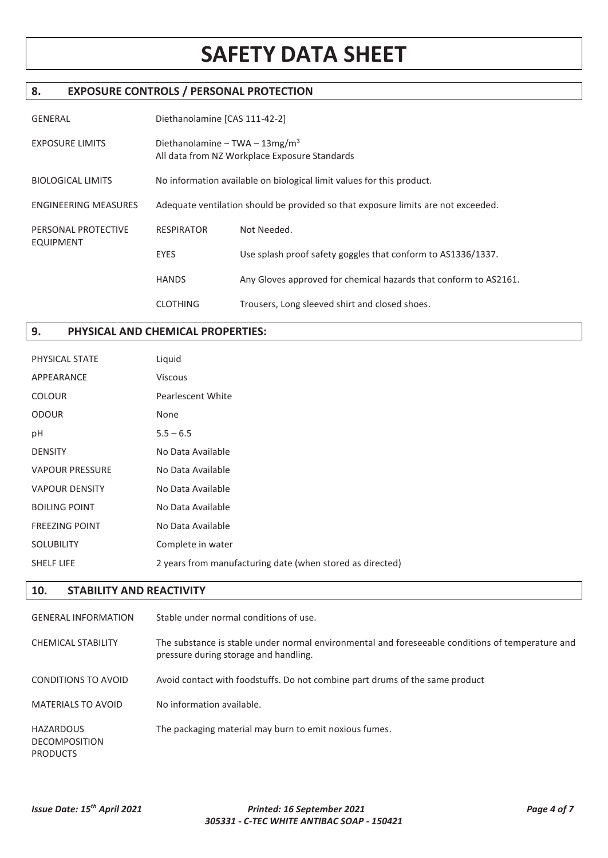### **8. EXPOSURE CONTROLS / PERSONAL PROTECTION**

| <b>GENERAL</b>                          | Diethanolamine [CAS 111-42-2]                                                               |                                                                  |
|-----------------------------------------|---------------------------------------------------------------------------------------------|------------------------------------------------------------------|
| <b>EXPOSURE LIMITS</b>                  | Diethanolamine – TWA – $13\,\text{mg/m}^3$<br>All data from NZ Workplace Exposure Standards |                                                                  |
| <b>BIOLOGICAL LIMITS</b>                | No information available on biological limit values for this product.                       |                                                                  |
| <b>ENGINEERING MEASURES</b>             | Adequate ventilation should be provided so that exposure limits are not exceeded.           |                                                                  |
| PERSONAL PROTECTIVE<br><b>EQUIPMENT</b> | <b>RESPIRATOR</b>                                                                           | Not Needed.                                                      |
|                                         | <b>EYES</b>                                                                                 | Use splash proof safety goggles that conform to AS1336/1337.     |
|                                         | <b>HANDS</b>                                                                                | Any Gloves approved for chemical hazards that conform to AS2161. |
|                                         | <b>CLOTHING</b>                                                                             | Trousers, Long sleeved shirt and closed shoes.                   |

## **9. PHYSICAL AND CHEMICAL PROPERTIES:**

| PHYSICAL STATE         | Liquid                                                    |
|------------------------|-----------------------------------------------------------|
| APPEARANCE             | Viscous                                                   |
| <b>COLOUR</b>          | Pearlescent White                                         |
| <b>ODOUR</b>           | None                                                      |
| рH                     | $5.5 - 6.5$                                               |
| <b>DENSITY</b>         | No Data Available                                         |
| <b>VAPOUR PRESSURE</b> | No Data Available                                         |
| <b>VAPOUR DENSITY</b>  | No Data Available                                         |
| <b>BOILING POINT</b>   | No Data Available                                         |
| <b>FREEZING POINT</b>  | No Data Available                                         |
| <b>SOLUBILITY</b>      | Complete in water                                         |
| <b>SHELF LIFE</b>      | 2 years from manufacturing date (when stored as directed) |
|                        |                                                           |

## **10. STABILITY AND REACTIVITY**

| <b>GENERAL INFORMATION</b>                           | Stable under normal conditions of use.                                                                                                    |
|------------------------------------------------------|-------------------------------------------------------------------------------------------------------------------------------------------|
| <b>CHEMICAL STABILITY</b>                            | The substance is stable under normal environmental and foreseeable conditions of temperature and<br>pressure during storage and handling. |
| CONDITIONS TO AVOID                                  | Avoid contact with foodstuffs. Do not combine part drums of the same product                                                              |
| <b>MATERIALS TO AVOID</b>                            | No information available.                                                                                                                 |
| HAZARDOUS<br><b>DECOMPOSITION</b><br><b>PRODUCTS</b> | The packaging material may burn to emit noxious fumes.                                                                                    |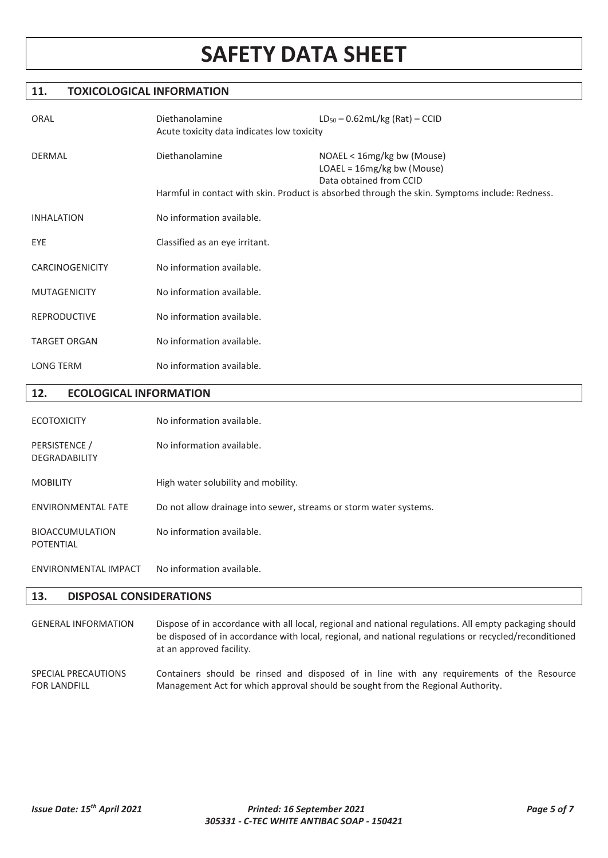### **11. TOXICOLOGICAL INFORMATION**

| ORAL                   | Diethanolamine<br>Acute toxicity data indicates low toxicity | $LD_{50} - 0.62mL/kg (Rat) - CCID$                                                                                                                                                      |
|------------------------|--------------------------------------------------------------|-----------------------------------------------------------------------------------------------------------------------------------------------------------------------------------------|
| <b>DERMAL</b>          | Diethanolamine                                               | NOAEL < 16mg/kg bw (Mouse)<br>$LOAEL = 16mg/kg$ bw (Mouse)<br>Data obtained from CCID<br>Harmful in contact with skin. Product is absorbed through the skin. Symptoms include: Redness. |
| <b>INHALATION</b>      | No information available.                                    |                                                                                                                                                                                         |
| EYE                    | Classified as an eye irritant.                               |                                                                                                                                                                                         |
| <b>CARCINOGENICITY</b> | No information available.                                    |                                                                                                                                                                                         |
| <b>MUTAGENICITY</b>    | No information available.                                    |                                                                                                                                                                                         |
| <b>REPRODUCTIVE</b>    | No information available.                                    |                                                                                                                                                                                         |
| <b>TARGET ORGAN</b>    | No information available.                                    |                                                                                                                                                                                         |
| <b>LONG TERM</b>       | No information available.                                    |                                                                                                                                                                                         |

### **12. ECOLOGICAL INFORMATION**

| <b>ECOTOXICITY</b>                    | No information available.                                         |
|---------------------------------------|-------------------------------------------------------------------|
| PERSISTENCE /<br><b>DEGRADABILITY</b> | No information available.                                         |
| <b>MOBILITY</b>                       | High water solubility and mobility.                               |
| <b>ENVIRONMENTAL FATE</b>             | Do not allow drainage into sewer, streams or storm water systems. |
| <b>BIOACCUMULATION</b><br>POTENTIAL   | No information available.                                         |
| ENVIRONMENTAL IMPACT                  | No information available.                                         |

### **13. DISPOSAL CONSIDERATIONS**

GENERAL INFORMATION Dispose of in accordance with all local, regional and national regulations. All empty packaging should be disposed of in accordance with local, regional, and national regulations or recycled/reconditioned at an approved facility. SPECIAL PRECAUTIONS FOR LANDFILL Containers should be rinsed and disposed of in line with any requirements of the Resource Management Act for which approval should be sought from the Regional Authority.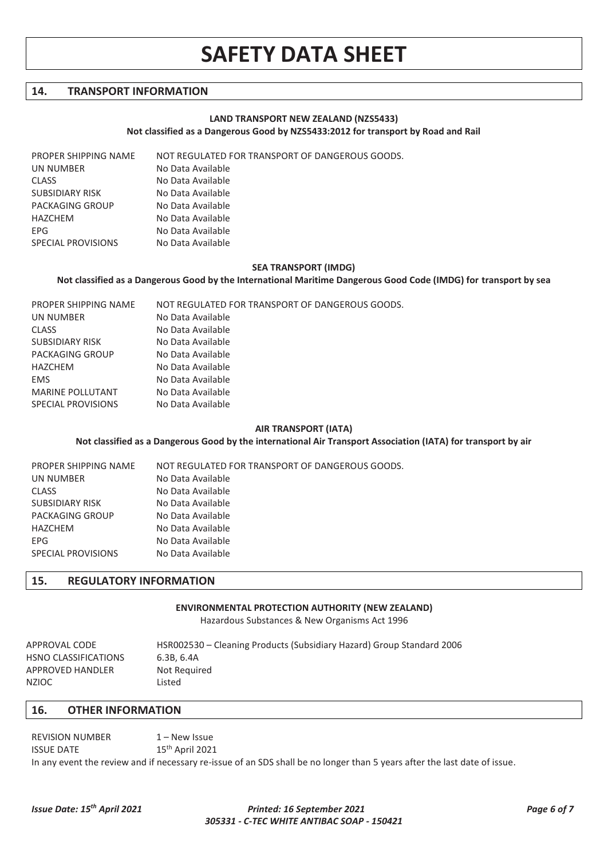### **14. TRANSPORT INFORMATION**

#### **LAND TRANSPORT NEW ZEALAND (NZS5433) Not classified as a Dangerous Good by NZS5433:2012 for transport by Road and Rail**

PROPER SHIPPING NAME NOT REGULATED FOR TRANSPORT OF DANGEROUS GOODS.

| UN NUMBER              | No Data Available |
|------------------------|-------------------|
| <b>CLASS</b>           | No Data Available |
| <b>SUBSIDIARY RISK</b> | No Data Available |
| PACKAGING GROUP        | No Data Available |
| HAZCHEM                | No Data Available |
| <b>FPG</b>             | No Data Available |
| SPECIAL PROVISIONS     | No Data Available |
|                        |                   |

#### **SEA TRANSPORT (IMDG)**

#### **Not classified as a Dangerous Good by the International Maritime Dangerous Good Code (IMDG) for transport by sea**

| PROPER SHIPPING NAME    | NOT REGULATED FOR TRANSPORT OF DANGEROUS GOODS. |
|-------------------------|-------------------------------------------------|
| UN NUMBER               | No Data Available                               |
| <b>CLASS</b>            | No Data Available                               |
| <b>SUBSIDIARY RISK</b>  | No Data Available                               |
| PACKAGING GROUP         | No Data Available                               |
| HAZCHEM                 | No Data Available                               |
| <b>EMS</b>              | No Data Available                               |
| <b>MARINE POLLUTANT</b> | No Data Available                               |
| SPECIAL PROVISIONS      | No Data Available                               |
|                         |                                                 |

#### **AIR TRANSPORT (IATA)**

#### **Not classified as a Dangerous Good by the international Air Transport Association (IATA) for transport by air**

| PROPER SHIPPING NAME   | NOT REGULATED FOR TRANSPORT OF DANGEROUS GOODS. |
|------------------------|-------------------------------------------------|
| UN NUMBER              | No Data Available                               |
| <b>CLASS</b>           | No Data Available                               |
| <b>SUBSIDIARY RISK</b> | No Data Available                               |
| PACKAGING GROUP        | No Data Available                               |
| HAZCHEM                | No Data Available                               |
| EPG.                   | No Data Available                               |
| SPECIAL PROVISIONS     | No Data Available                               |

#### **15. REGULATORY INFORMATION**

#### **ENVIRONMENTAL PROTECTION AUTHORITY (NEW ZEALAND)**

Hazardous Substances & New Organisms Act 1996

| APPROVAL CODE        | HSR002530 – Cleaning Products (Subsidiary Hazard) Group Standard 2006 |
|----------------------|-----------------------------------------------------------------------|
| HSNO CLASSIFICATIONS | 6.3B. 6.4A                                                            |
| APPROVED HANDLER     | Not Reguired                                                          |
| NZIOC                | Listed                                                                |

#### **16. OTHER INFORMATION**

REVISION NUMBER 1 – New Issue ISSUE DATE 15<sup>th</sup> April 2021 In any event the review and if necessary re-issue of an SDS shall be no longer than 5 years after the last date of issue.

#### *Issue Date: 15th April 2021 Printed: 16 September 2021 Page 6 of 7 305331 - C-TEC WHITE ANTIBAC SOAP - 150421*